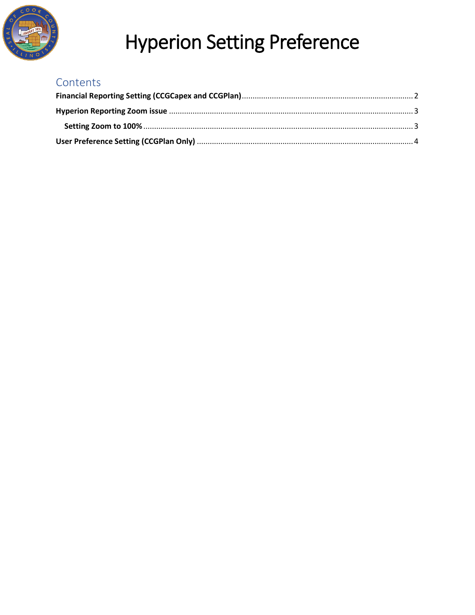

### Contents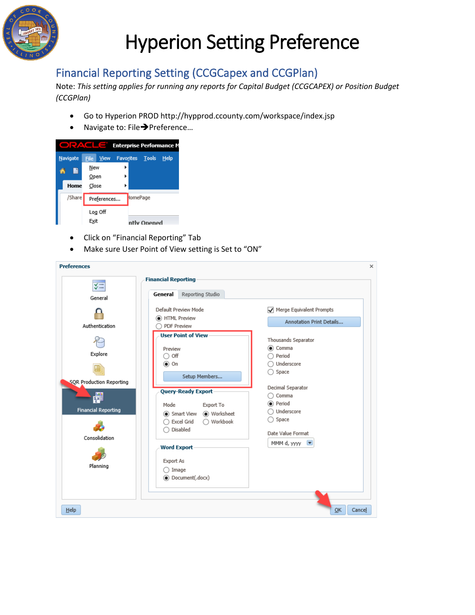

### <span id="page-1-0"></span>Financial Reporting Setting (CCGCapex and CCGPlan)

Note: *This setting applies for running any reports for Capital Budget (CCGCAPEX) or Position Budget (CCGPlan)*

- Go to Hyperion PROD http://hypprod.ccounty.com/workspace/index.jsp
- Navigate to: File > Preference...

|          | <b>Enterprise Performance M</b>                              |
|----------|--------------------------------------------------------------|
| Navigate | <b>Tools</b><br><b>Favorites</b><br>File View<br><b>Help</b> |
|          | New                                                          |
|          | Open                                                         |
| Home     | Close                                                        |
| /Share   | <b>HomePage</b><br>Preferences                               |
|          | Log Off                                                      |
|          | Exit<br>ntly Opened                                          |

- Click on "Financial Reporting" Tab
- Make sure User Point of View setting is Set to "ON"

| <b>Preferences</b>                               |                                                                                                                   | ×                                                                                  |
|--------------------------------------------------|-------------------------------------------------------------------------------------------------------------------|------------------------------------------------------------------------------------|
| $\sqrt{x}$                                       | <b>Financial Reporting</b>                                                                                        |                                                                                    |
| General                                          | Reporting Studio<br>General                                                                                       |                                                                                    |
| Authentication                                   | Default Preview Mode<br><b>O</b> HTML Preview<br><b>PDF Preview</b>                                               | Merge Equivalent Prompts<br>Annotation Print Details                               |
| Explore<br>SQR Production Reporting              | <b>User Point of View</b><br>Preview<br>$\bigcirc$ off<br>$\circ$ On<br>Setup Members                             | Thousands Separator<br>◉ Comma<br>Period<br>Underscore<br>Space                    |
| 剛<br><b>Financial Reporting</b><br>Consolidation | <b>Query-Ready Export</b><br>Mode<br>Export To<br>Worksheet<br>Smart View<br>◯ Workbook<br>Excel Grid<br>Disabled | Decimal Separator<br>Comma<br>◉ Period<br>Underscore<br>Space<br>Date Value Format |
| Planning                                         | <b>Word Export</b><br><b>Export As</b><br>Image<br>(Document(.docx)                                               | MMM d, yyyy<br>$\overline{\phantom{a}}$                                            |
| Help                                             |                                                                                                                   | OK<br>Cancel                                                                       |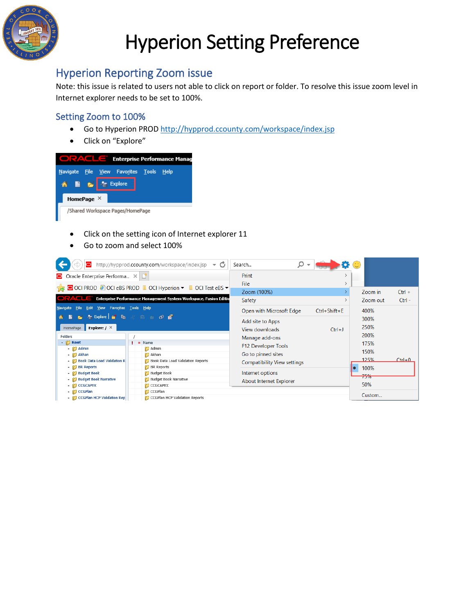

#### <span id="page-2-0"></span>Hyperion Reporting Zoom issue

Note: this issue is related to users not able to click on report or folder. To resolve this issue zoom level in Internet explorer needs to be set to 100%.

#### <span id="page-2-1"></span>Setting Zoom to 100%

- Go to Hyperion PROD<http://hypprod.ccounty.com/workspace/index.jsp>
- Click on "Explore"



- Click on the setting icon of Internet explorer 11
- Go to zoom and select 100%

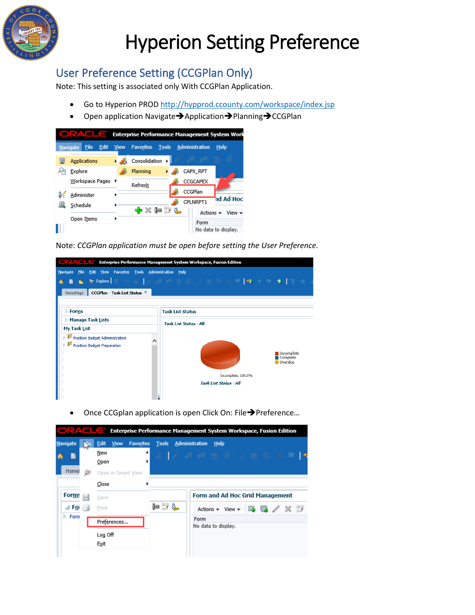

### <span id="page-3-0"></span>User Preference Setting (CCGPlan Only)

Note: This setting is associated only With CCGPlan Application.

- Go to Hyperion PROD<http://hypprod.ccounty.com/workspace/index.jsp>
- Open application Navigate→Application→Planning→CCGPlan



Note: *CCGPlan application must be open before setting the User Preference.* 



Once CCGplan application is open Click On: File→Preference...

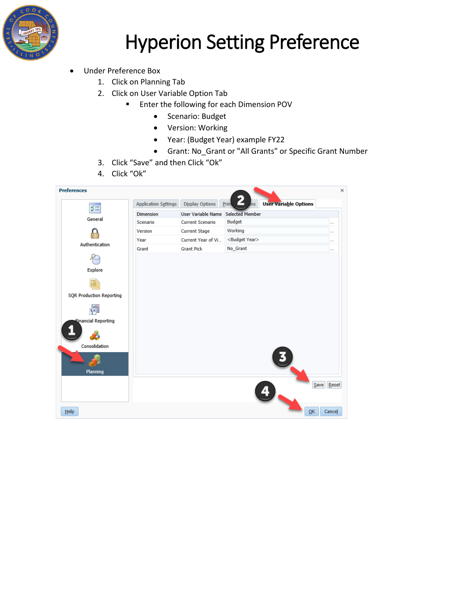

- Under Preference Box
	- 1. Click on Planning Tab
	- 2. Click on User Variable Option Tab
		- **Enter the following for each Dimension POV** 
			- Scenario: Budget
			- Version: Working
			- Year: (Budget Year) example FY22
			- Grant: No\_Grant or "All Grants" or Specific Grant Number
	- 3. Click "Save" and then Click "Ok"
	- 4. Click "Ok"

| <b>Preferences</b>              |                      |                    |                                                  | ×              |
|---------------------------------|----------------------|--------------------|--------------------------------------------------|----------------|
| $\sqrt{x}$                      | Application Settings | Display Options    | <b>User Variable Options</b><br>c<br>Print<br>ms |                |
|                                 | Dimension            | User Variable Name | Selected Member                                  |                |
| General                         | Scenario             | Current Scenario   | Budget                                           | $\overline{a}$ |
|                                 | Version              | Current Stage      | Working                                          | $\sim$         |
| Authentication                  | Year                 | Current Year of Vi | <budget year=""></budget>                        | $\cdots$       |
|                                 | Grant                | <b>Grant Pick</b>  | No_Grant                                         | $\cdots$       |
|                                 |                      |                    |                                                  |                |
| Explore                         |                      |                    |                                                  |                |
|                                 |                      |                    |                                                  |                |
|                                 |                      |                    |                                                  |                |
| <b>SQR Production Reporting</b> |                      |                    |                                                  |                |
| 疊                               |                      |                    |                                                  |                |
| Einancial Reporting             |                      |                    |                                                  |                |
|                                 |                      |                    |                                                  |                |
| Consolidation                   |                      |                    |                                                  |                |
|                                 |                      |                    |                                                  |                |
| Planning                        |                      |                    |                                                  |                |
|                                 |                      |                    |                                                  |                |
|                                 |                      |                    | Save                                             | Reset          |
|                                 |                      |                    |                                                  |                |
| Help                            |                      |                    | OK                                               | Cancel         |